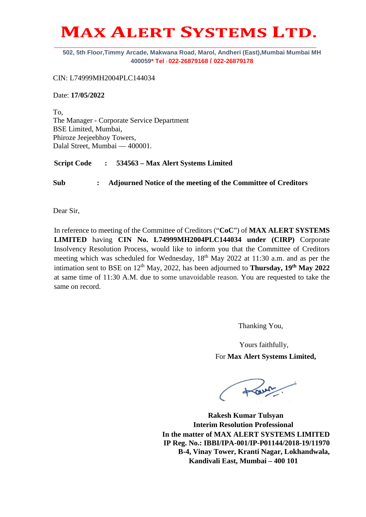## **MAX ALERT SYSTEMS LTD.**

**502, 5th Floor,Timmy Arcade, Makwana Road, Marol, Andheri (East),Mumbai Mumbai MH 400059\* Tel : 022-26879168 / 022-26879178**

CIN: L74999MH2004PLC144034

Date: **17/05/2022**

To, The Manager - Corporate Service Department BSE Limited, Mumbai, Phiroze Jeejeebhoy Towers, Dalal Street, Mumbai — 400001.

**Script Code : 534563 – Max Alert Systems Limited**

**Sub : Adjourned Notice of the meeting of the Committee of Creditors** 

Dear Sir,

In reference to meeting of the Committee of Creditors ("**CoC**") of **MAX ALERT SYSTEMS LIMITED** having **CIN No. L74999MH2004PLC144034 under (CIRP)** Corporate Insolvency Resolution Process, would like to inform you that the Committee of Creditors meeting which was scheduled for Wednesday, 18<sup>th</sup> May 2022 at 11:30 a.m. and as per the intimation sent to BSE on 12<sup>th</sup> May, 2022, has been adjourned to **Thursday, 19<sup>th</sup> May 2022** at same time of 11:30 A.M. due to some unavoidable reason. You are requested to take the same on record.

Thanking You,

 Yours faithfully, For **Max Alert Systems Limited,**

tour.

**Rakesh Kumar Tulsyan Interim Resolution Professional In the matter of MAX ALERT SYSTEMS LIMITED IP Reg. No.: IBBI/IPA-001/IP-P01144/2018-19/11970 B-4, Vinay Tower, Kranti Nagar, Lokhandwala, Kandivali East, Mumbai – 400 101**